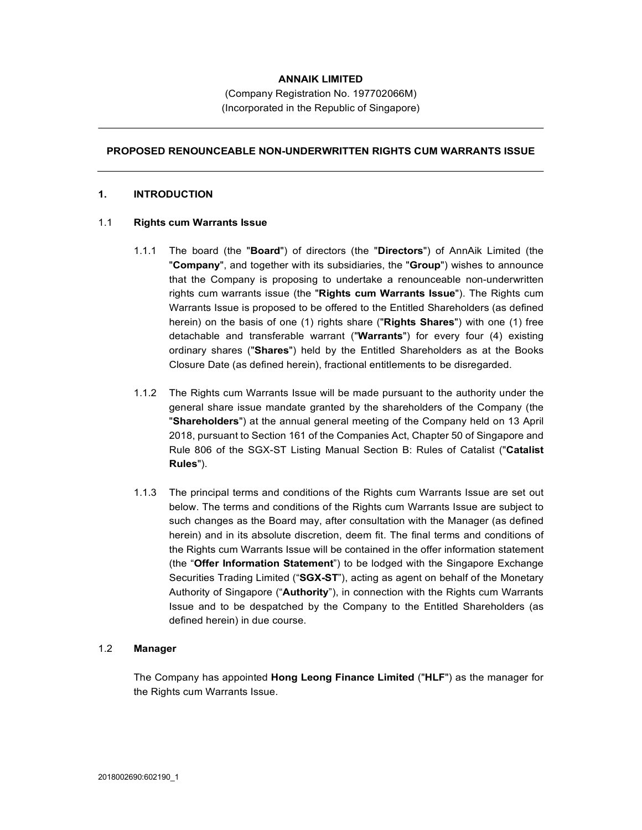## ANNAIK LIMITED

(Company Registration No. 197702066M) (Incorporated in the Republic of Singapore)

#### PROPOSED RENOUNCEABLE NON-UNDERWRITTEN RIGHTS CUM WARRANTS ISSUE

#### 1. INTRODUCTION

#### 1.1 Rights cum Warrants Issue

- 1.1.1 The board (the "**Board**") of directors (the "**Directors**") of AnnAik Limited (the "**Company**", and together with its subsidiaries, the "**Group**") wishes to announce that the Company is proposing to undertake a renounceable non-underwritten rights cum warrants issue (the "Rights cum Warrants Issue"). The Rights cum Warrants Issue is proposed to be offered to the Entitled Shareholders (as defined herein) on the basis of one (1) rights share ("Rights Shares") with one (1) free detachable and transferable warrant ("Warrants") for every four (4) existing ordinary shares ("Shares") held by the Entitled Shareholders as at the Books Closure Date (as defined herein), fractional entitlements to be disregarded.
- 1.1.2 The Rights cum Warrants Issue will be made pursuant to the authority under the general share issue mandate granted by the shareholders of the Company (the "Shareholders") at the annual general meeting of the Company held on 13 April 2018, pursuant to Section 161 of the Companies Act, Chapter 50 of Singapore and Rule 806 of the SGX-ST Listing Manual Section B: Rules of Catalist ("Catalist Rules").
- 1.1.3 The principal terms and conditions of the Rights cum Warrants Issue are set out below. The terms and conditions of the Rights cum Warrants Issue are subject to such changes as the Board may, after consultation with the Manager (as defined herein) and in its absolute discretion, deem fit. The final terms and conditions of the Rights cum Warrants Issue will be contained in the offer information statement (the "Offer Information Statement") to be lodged with the Singapore Exchange Securities Trading Limited ("SGX-ST"), acting as agent on behalf of the Monetary Authority of Singapore ("Authority"), in connection with the Rights cum Warrants Issue and to be despatched by the Company to the Entitled Shareholders (as defined herein) in due course.

#### 1.2 Manager

The Company has appointed Hong Leong Finance Limited ("HLF") as the manager for the Rights cum Warrants Issue.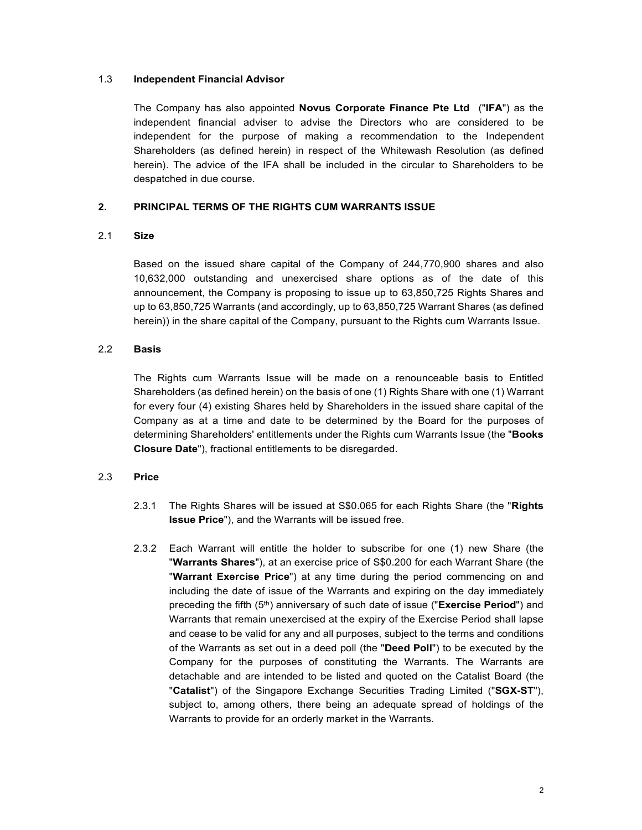#### 1.3 Independent Financial Advisor

The Company has also appointed Novus Corporate Finance Pte Ltd ("IFA") as the independent financial adviser to advise the Directors who are considered to be independent for the purpose of making a recommendation to the Independent Shareholders (as defined herein) in respect of the Whitewash Resolution (as defined herein). The advice of the IFA shall be included in the circular to Shareholders to be despatched in due course.

## 2. PRINCIPAL TERMS OF THE RIGHTS CUM WARRANTS ISSUE

#### 2.1 Size **Size Size 1999**

Based on the issued share capital of the Company of 244,770,900 shares and also 10,632,000 outstanding and unexercised share options as of the date of this announcement, the Company is proposing to issue up to 63,850,725 Rights Shares and up to 63,850,725 Warrants (and accordingly, up to 63,850,725 Warrant Shares (as defined herein)) in the share capital of the Company, pursuant to the Rights cum Warrants Issue.

#### 2.2 Basis

The Rights cum Warrants Issue will be made on a renounceable basis to Entitled Shareholders (as defined herein) on the basis of one (1) Rights Share with one (1) Warrant for every four (4) existing Shares held by Shareholders in the issued share capital of the Company as at a time and date to be determined by the Board for the purposes of determining Shareholders' entitlements under the Rights cum Warrants Issue (the "Books Closure Date"), fractional entitlements to be disregarded.

## 2.3 Price

- 2.3.1 The Rights Shares will be issued at S\$0.065 for each Rights Share (the "Rights" Issue Price"), and the Warrants will be issued free.
- 2.3.2 Each Warrant will entitle the holder to subscribe for one (1) new Share (the "Warrants Shares"), at an exercise price of S\$0.200 for each Warrant Share (the "Warrant Exercise Price") at any time during the period com including the date of issue of the Warrants and expiring on the day immediately preceding the fifth  $(5<sup>th</sup>)$  anniversary of such date of issue ("Exercise Period") and Warrants that remain unexercised at the expiry of the Exercise Period shall lapse and cease to be valid for any and all purposes, subject to the terms and conditions of the Warrants as set out in a deed poll (the "Deed Poll") to be executed by the Company for the purposes of constituting the Warrants. The Warrants are detachable and are intended to be listed and quoted on the Catalist Board (the "Catalist") of the Singapore Exchange Securities Trading Limited ("SGX-ST"), subject to, among others, there being an adequate spread of holdings of the Warrants to provide for an orderly market in the Warrants.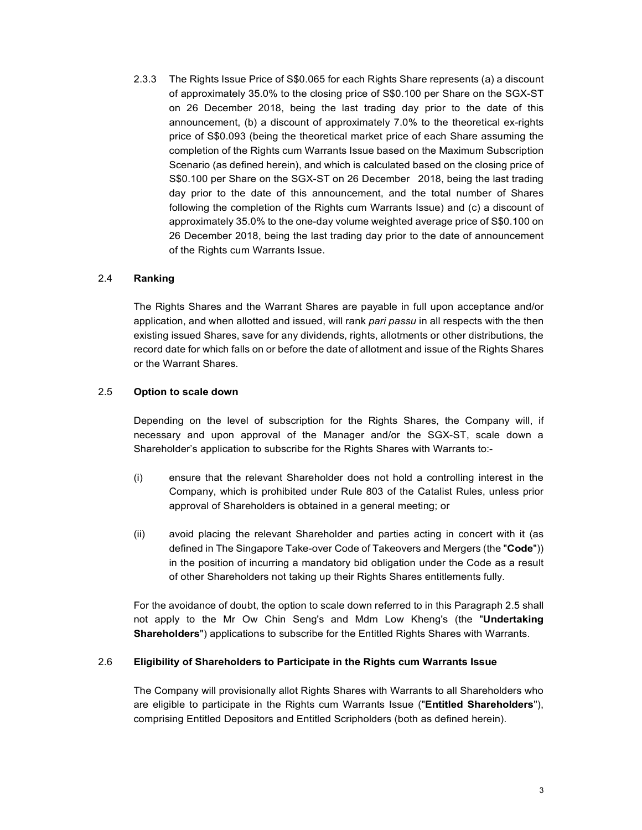2.3.3 The Rights Issue Price of S\$0.065 for each Rights Share represents (a) a discount of approximately 35.0% to the closing price of S\$0.100 per Share on the SGX-ST on 26 December 2018, being the last trading day prior to the date of this announcement, (b) a discount of approximately 7.0% to the theoretical ex-rights price of S\$0.093 (being the theoretical market price of each Share assuming the completion of the Rights cum Warrants Issue based on the Maximum Subscription Scenario (as defined herein), and which is calculated based on the closing price of S\$0.100 per Share on the SGX-ST on 26 December 2018, being the last trading day prior to the date of this announcement, and the total number of Shares following the completion of the Rights cum Warrants Issue) and (c) a discount of approximately 35.0% to the one-day volume weighted average price of S\$0.100 on 26 December 2018, being the last trading day prior to the date of announcement of the Rights cum Warrants Issue.

# 2.4 Ranking

The Rights Shares and the Warrant Shares are payable in full upon acceptance and/or application, and when allotted and issued, will rank pari passu in all respects with the then existing issued Shares, save for any dividends, rights, allotments or other distributions, the record date for which falls on or before the date of allotment and issue of the Rights Shares or the Warrant Shares.

# 2.5 Option to scale down

Depending on the level of subscription for the Rights Shares, the Company will, if necessary and upon approval of the Manager and/or the SGX-ST, scale down a Shareholder's application to subscribe for the Rights Shares with Warrants to:-

- (i) ensure that the relevant Shareholder does not hold a controlling interest in the Company, which is prohibited under Rule 803 of the Catalist Rules, unless prior approval of Shareholders is obtained in a general meeting; or
- (ii) avoid placing the relevant Shareholder and parties acting in concert with it (as defined in The Singapore Take-over Code of Takeovers and Mergers (the "Code")) in the position of incurring a mandatory bid obligation under the Code as a result of other Shareholders not taking up their Rights Shares entitlements fully.

For the avoidance of doubt, the option to scale down referred to in this Paragraph 2.5 shall not apply to the Mr Ow Chin Seng's and Mdm Low Kheng's (the "Undertaking Shareholders") applications to subscribe for the Entitled Rights Shares with Warrants.

## 2.6 Eligibility of Shareholders to Participate in the Rights cum Warrants Issue

The Company will provisionally allot Rights Shares with Warrants to all Shareholders who are eligible to participate in the Rights cum Warrants Issue ("Entitled Shareholders"), comprising Entitled Depositors and Entitled Scripholders (both as defined herein).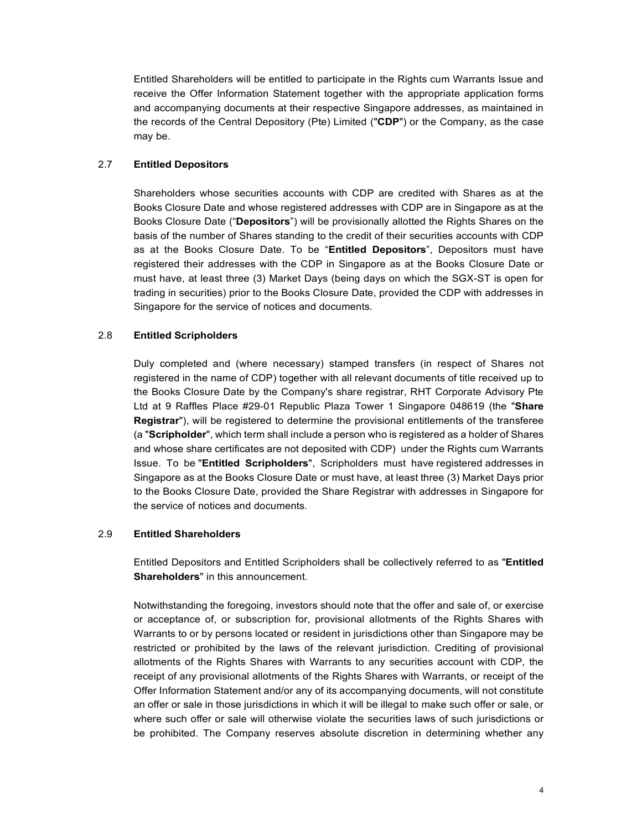Entitled Shareholders will be entitled to participate in the Rights cum Warrants Issue and receive the Offer Information Statement together with the appropriate application forms and accompanying documents at their respective Singapore addresses, as maintained in the records of the Central Depository (Pte) Limited ("CDP") or the Company, as the case may be.

## 2.7 Entitled Depositors

Shareholders whose securities accounts with CDP are credited with Shares as at the Books Closure Date and whose registered addresses with CDP are in Singapore as at the Books Closure Date ("Depositors") will be provisionally allotted the Rights Shares on the basis of the number of Shares standing to the credit of their securities accounts with CDP as at the Books Closure Date. To be "Entitled Depositors", Depositors must have registered their addresses with the CDP in Singapore as at the Books Closure Date or must have, at least three (3) Market Days (being days on which the SGX-ST is open for trading in securities) prior to the Books Closure Date, provided the CDP with addresses in Singapore for the service of notices and documents.

## 2.8 Entitled Scripholders

Duly completed and (where necessary) stamped transfers (in respect of Shares not registered in the name of CDP) together with all relevant documents of title received up to the Books Closure Date by the Company's share registrar, RHT Corporate Advisory Pte Ltd at 9 Raffles Place #29-01 Republic Plaza Tower 1 Singapore 048619 (the "Share Registrar"), will be registered to determine the provisional entitlements of the transferee (a "Scripholder", which term shall include a person who is registered as a holder of Shares and whose share certificates are not deposited with CDP) under the Rights cum Warrants Issue. To be "Entitled Scripholders", Scripholders must have registered addresses in Singapore as at the Books Closure Date or must have, at least three (3) Market Days prior to the Books Closure Date, provided the Share Registrar with addresses in Singapore for the service of notices and documents.

## 2.9 Entitled Shareholders

Entitled Depositors and Entitled Scripholders shall be collectively referred to as "Entitled Shareholders" in this announcement.

 Notwithstanding the foregoing, investors should note that the offer and sale of, or exercise or acceptance of, or subscription for, provisional allotments of the Rights Shares with Warrants to or by persons located or resident in jurisdictions other than Singapore may be restricted or prohibited by the laws of the relevant jurisdiction. Crediting of provisional allotments of the Rights Shares with Warrants to any securities account with CDP, the receipt of any provisional allotments of the Rights Shares with Warrants, or receipt of the Offer Information Statement and/or any of its accompanying documents, will not constitute an offer or sale in those jurisdictions in which it will be illegal to make such offer or sale, or where such offer or sale will otherwise violate the securities laws of such jurisdictions or be prohibited. The Company reserves absolute discretion in determining whether any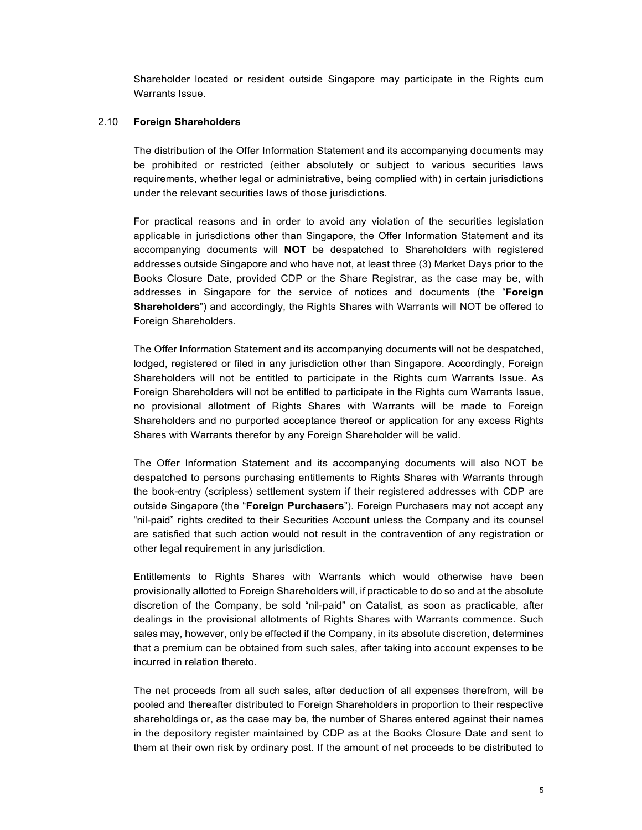Shareholder located or resident outside Singapore may participate in the Rights cum Warrants Issue.

#### 2.10 Foreign Shareholders

The distribution of the Offer Information Statement and its accompanying documents may be prohibited or restricted (either absolutely or subject to various securities laws requirements, whether legal or administrative, being complied with) in certain jurisdictions under the relevant securities laws of those jurisdictions.

For practical reasons and in order to avoid any violation of the securities legislation applicable in jurisdictions other than Singapore, the Offer Information Statement and its accompanying documents will NOT be despatched to Shareholders with registered addresses outside Singapore and who have not, at least three (3) Market Days prior to the Books Closure Date, provided CDP or the Share Registrar, as the case may be, with addresses in Singapore for the service of notices and documents (the "Foreign Shareholders") and accordingly, the Rights Shares with Warrants will NOT be offered to Foreign Shareholders.

The Offer Information Statement and its accompanying documents will not be despatched, lodged, registered or filed in any jurisdiction other than Singapore. Accordingly, Foreign Shareholders will not be entitled to participate in the Rights cum Warrants Issue. As Foreign Shareholders will not be entitled to participate in the Rights cum Warrants Issue, no provisional allotment of Rights Shares with Warrants will be made to Foreign Shareholders and no purported acceptance thereof or application for any excess Rights Shares with Warrants therefor by any Foreign Shareholder will be valid.

The Offer Information Statement and its accompanying documents will also NOT be despatched to persons purchasing entitlements to Rights Shares with Warrants through the book-entry (scripless) settlement system if their registered addresses with CDP are outside Singapore (the "**Foreign Purchasers**"). Foreign Purchasers may not accept any "nil-paid" rights credited to their Securities Account unless the Company and its counsel are satisfied that such action would not result in the contravention of any registration or other legal requirement in any jurisdiction.

Entitlements to Rights Shares with Warrants which would otherwise have been provisionally allotted to Foreign Shareholders will, if practicable to do so and at the absolute discretion of the Company, be sold "nil-paid" on Catalist, as soon as practicable, after dealings in the provisional allotments of Rights Shares with Warrants commence. Such sales may, however, only be effected if the Company, in its absolute discretion, determines that a premium can be obtained from such sales, after taking into account expenses to be incurred in relation thereto.

The net proceeds from all such sales, after deduction of all expenses therefrom, will be pooled and thereafter distributed to Foreign Shareholders in proportion to their respective shareholdings or, as the case may be, the number of Shares entered against their names in the depository register maintained by CDP as at the Books Closure Date and sent to them at their own risk by ordinary post. If the amount of net proceeds to be distributed to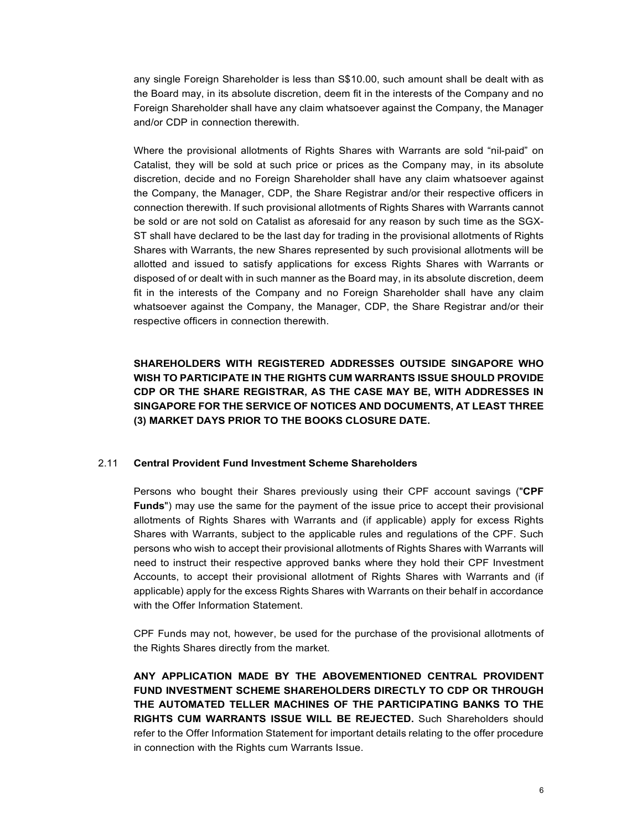any single Foreign Shareholder is less than S\$10.00, such amount shall be dealt with as the Board may, in its absolute discretion, deem fit in the interests of the Company and no Foreign Shareholder shall have any claim whatsoever against the Company, the Manager and/or CDP in connection therewith.

Where the provisional allotments of Rights Shares with Warrants are sold "nil-paid" on Catalist, they will be sold at such price or prices as the Company may, in its absolute discretion, decide and no Foreign Shareholder shall have any claim whatsoever against the Company, the Manager, CDP, the Share Registrar and/or their respective officers in connection therewith. If such provisional allotments of Rights Shares with Warrants cannot be sold or are not sold on Catalist as aforesaid for any reason by such time as the SGX-ST shall have declared to be the last day for trading in the provisional allotments of Rights Shares with Warrants, the new Shares represented by such provisional allotments will be allotted and issued to satisfy applications for excess Rights Shares with Warrants or disposed of or dealt with in such manner as the Board may, in its absolute discretion, deem fit in the interests of the Company and no Foreign Shareholder shall have any claim whatsoever against the Company, the Manager, CDP, the Share Registrar and/or their respective officers in connection therewith.

SHAREHOLDERS WITH REGISTERED ADDRESSES OUTSIDE SINGAPORE WHO WISH TO PARTICIPATE IN THE RIGHTS CUM WARRANTS ISSUE SHOULD PROVIDE CDP OR THE SHARE REGISTRAR, AS THE CASE MAY BE, WITH ADDRESSES IN SINGAPORE FOR THE SERVICE OF NOTICES AND DOCUMENTS, AT LEAST THREE (3) MARKET DAYS PRIOR TO THE BOOKS CLOSURE DATE.

## 2.11 Central Provident Fund Investment Scheme Shareholders

Persons who bought their Shares previously using their CPF account savings ("CPF Funds") may use the same for the payment of the issue price to accept their provisional allotments of Rights Shares with Warrants and (if applicable) apply for excess Rights Shares with Warrants, subject to the applicable rules and regulations of the CPF. Such persons who wish to accept their provisional allotments of Rights Shares with Warrants will need to instruct their respective approved banks where they hold their CPF Investment Accounts, to accept their provisional allotment of Rights Shares with Warrants and (if applicable) apply for the excess Rights Shares with Warrants on their behalf in accordance with the Offer Information Statement.

CPF Funds may not, however, be used for the purchase of the provisional allotments of the Rights Shares directly from the market.

ANY APPLICATION MADE BY THE ABOVEMENTIONED CENTRAL PROVIDENT FUND INVESTMENT SCHEME SHAREHOLDERS DIRECTLY TO CDP OR THROUGH THE AUTOMATED TELLER MACHINES OF THE PARTICIPATING BANKS TO THE RIGHTS CUM WARRANTS ISSUE WILL BE REJECTED. Such Shareholders should refer to the Offer Information Statement for important details relating to the offer procedure in connection with the Rights cum Warrants Issue.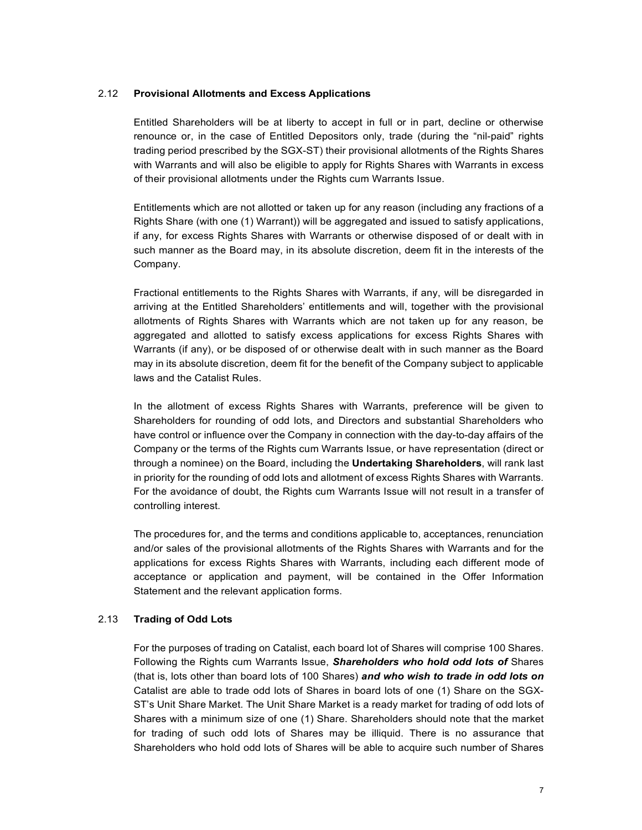#### 2.12 Provisional Allotments and Excess Applications

Entitled Shareholders will be at liberty to accept in full or in part, decline or otherwise renounce or, in the case of Entitled Depositors only, trade (during the "nil-paid" rights trading period prescribed by the SGX-ST) their provisional allotments of the Rights Shares with Warrants and will also be eligible to apply for Rights Shares with Warrants in excess of their provisional allotments under the Rights cum Warrants Issue.

Entitlements which are not allotted or taken up for any reason (including any fractions of a Rights Share (with one (1) Warrant)) will be aggregated and issued to satisfy applications, if any, for excess Rights Shares with Warrants or otherwise disposed of or dealt with in such manner as the Board may, in its absolute discretion, deem fit in the interests of the Company.

Fractional entitlements to the Rights Shares with Warrants, if any, will be disregarded in arriving at the Entitled Shareholders' entitlements and will, together with the provisional allotments of Rights Shares with Warrants which are not taken up for any reason, be aggregated and allotted to satisfy excess applications for excess Rights Shares with Warrants (if any), or be disposed of or otherwise dealt with in such manner as the Board may in its absolute discretion, deem fit for the benefit of the Company subject to applicable laws and the Catalist Rules.

In the allotment of excess Rights Shares with Warrants, preference will be given to Shareholders for rounding of odd lots, and Directors and substantial Shareholders who have control or influence over the Company in connection with the day-to-day affairs of the Company or the terms of the Rights cum Warrants Issue, or have representation (direct or through a nominee) on the Board, including the **Undertaking Shareholders**, will rank last in priority for the rounding of odd lots and allotment of excess Rights Shares with Warrants. For the avoidance of doubt, the Rights cum Warrants Issue will not result in a transfer of controlling interest.

The procedures for, and the terms and conditions applicable to, acceptances, renunciation and/or sales of the provisional allotments of the Rights Shares with Warrants and for the applications for excess Rights Shares with Warrants, including each different mode of acceptance or application and payment, will be contained in the Offer Information Statement and the relevant application forms.

## 2.13 Trading of Odd Lots

For the purposes of trading on Catalist, each board lot of Shares will comprise 100 Shares. Following the Rights cum Warrants Issue, Shareholders who hold odd lots of Shares (that is, lots other than board lots of 100 Shares) and who wish to trade in odd lots on Catalist are able to trade odd lots of Shares in board lots of one (1) Share on the SGX-ST's Unit Share Market. The Unit Share Market is a ready market for trading of odd lots of Shares with a minimum size of one (1) Share. Shareholders should note that the market for trading of such odd lots of Shares may be illiquid. There is no assurance that Shareholders who hold odd lots of Shares will be able to acquire such number of Shares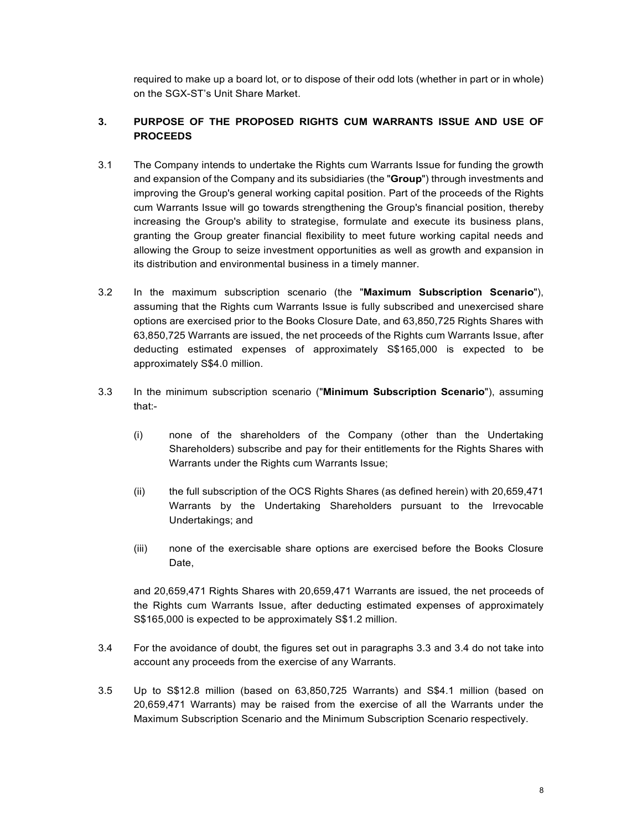required to make up a board lot, or to dispose of their odd lots (whether in part or in whole) on the SGX-ST's Unit Share Market.

# 3. PURPOSE OF THE PROPOSED RIGHTS CUM WARRANTS ISSUE AND USE OF PROCEEDS

- 3.1 The Company intends to undertake the Rights cum Warrants Issue for funding the growth and expansion of the Company and its subsidiaries (the "Group") through investments and improving the Group's general working capital position. Part of the proceeds of the Rights cum Warrants Issue will go towards strengthening the Group's financial position, thereby increasing the Group's ability to strategise, formulate and execute its business plans, granting the Group greater financial flexibility to meet future working capital needs and allowing the Group to seize investment opportunities as well as growth and expansion in its distribution and environmental business in a timely manner.
- 3.2 In the maximum subscription scenario (the "Maximum Subscription Scenario"), assuming that the Rights cum Warrants Issue is fully subscribed and unexercised share options are exercised prior to the Books Closure Date, and 63,850,725 Rights Shares with 63,850,725 Warrants are issued, the net proceeds of the Rights cum Warrants Issue, after deducting estimated expenses of approximately S\$165,000 is expected to be approximately S\$4.0 million.
- 3.3 In the minimum subscription scenario ("Minimum Subscription Scenario"), assuming that:-
	- (i) none of the shareholders of the Company (other than the Undertaking Shareholders) subscribe and pay for their entitlements for the Rights Shares with Warrants under the Rights cum Warrants Issue;
	- (ii) the full subscription of the OCS Rights Shares (as defined herein) with 20,659,471 Warrants by the Undertaking Shareholders pursuant to the Irrevocable Undertakings; and
	- (iii) none of the exercisable share options are exercised before the Books Closure Date.

and 20,659,471 Rights Shares with 20,659,471 Warrants are issued, the net proceeds of the Rights cum Warrants Issue, after deducting estimated expenses of approximately S\$165,000 is expected to be approximately S\$1.2 million.

- 3.4 For the avoidance of doubt, the figures set out in paragraphs 3.3 and 3.4 do not take into account any proceeds from the exercise of any Warrants.
- 3.5 Up to S\$12.8 million (based on 63,850,725 Warrants) and S\$4.1 million (based on 20,659,471 Warrants) may be raised from the exercise of all the Warrants under the Maximum Subscription Scenario and the Minimum Subscription Scenario respectively.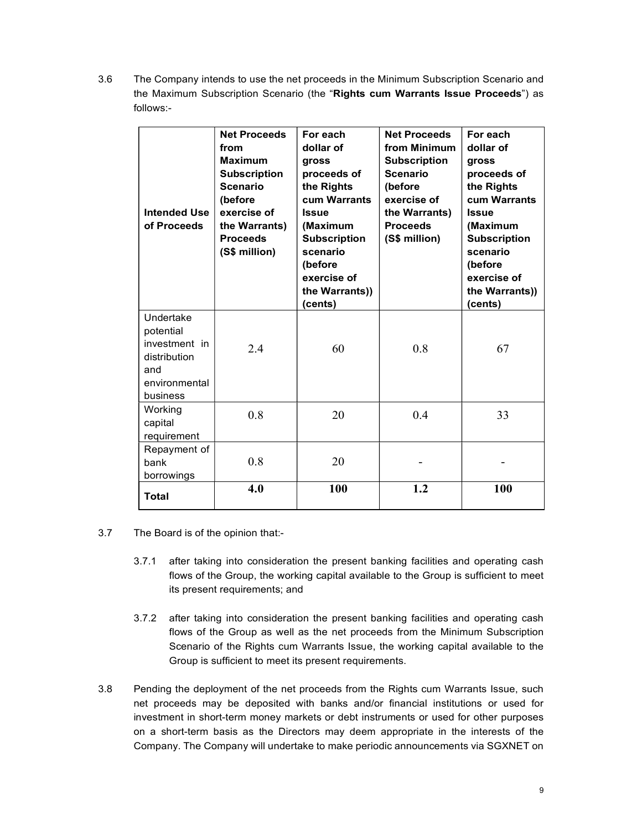3.6 The Company intends to use the net proceeds in the Minimum Subscription Scenario and the Maximum Subscription Scenario (the "Rights cum Warrants Issue Proceeds") as follows:-

| <b>Intended Use</b><br>of Proceeds                                                          | <b>Net Proceeds</b><br>from<br><b>Maximum</b><br><b>Subscription</b><br><b>Scenario</b><br>(before<br>exercise of<br>the Warrants)<br><b>Proceeds</b><br>(S\$ million) | For each<br>dollar of<br>gross<br>proceeds of<br>the Rights<br>cum Warrants<br><b>Issue</b><br>(Maximum<br><b>Subscription</b><br>scenario<br>(before<br>exercise of<br>the Warrants))<br>(cents) | <b>Net Proceeds</b><br>from Minimum<br><b>Subscription</b><br><b>Scenario</b><br>(before<br>exercise of<br>the Warrants)<br><b>Proceeds</b><br>(S\$ million) | For each<br>dollar of<br>gross<br>proceeds of<br>the Rights<br>cum Warrants<br><b>Issue</b><br>(Maximum<br><b>Subscription</b><br>scenario<br>(before<br>exercise of<br>the Warrants))<br>(cents) |
|---------------------------------------------------------------------------------------------|------------------------------------------------------------------------------------------------------------------------------------------------------------------------|---------------------------------------------------------------------------------------------------------------------------------------------------------------------------------------------------|--------------------------------------------------------------------------------------------------------------------------------------------------------------|---------------------------------------------------------------------------------------------------------------------------------------------------------------------------------------------------|
| Undertake<br>potential<br>investment in<br>distribution<br>and<br>environmental<br>business | 2.4                                                                                                                                                                    | 60                                                                                                                                                                                                | 0.8                                                                                                                                                          | 67                                                                                                                                                                                                |
| Working<br>capital<br>requirement                                                           | 0.8                                                                                                                                                                    | 20                                                                                                                                                                                                | 0.4                                                                                                                                                          | 33                                                                                                                                                                                                |
| Repayment of<br>bank<br>borrowings                                                          | 0.8                                                                                                                                                                    | 20                                                                                                                                                                                                |                                                                                                                                                              |                                                                                                                                                                                                   |
| <b>Total</b>                                                                                | 4.0                                                                                                                                                                    | 100                                                                                                                                                                                               | 1.2                                                                                                                                                          | 100                                                                                                                                                                                               |

- 3.7 The Board is of the opinion that:-
	- 3.7.1 after taking into consideration the present banking facilities and operating cash flows of the Group, the working capital available to the Group is sufficient to meet its present requirements; and
	- 3.7.2 after taking into consideration the present banking facilities and operating cash flows of the Group as well as the net proceeds from the Minimum Subscription Scenario of the Rights cum Warrants Issue, the working capital available to the Group is sufficient to meet its present requirements.
- 3.8 Pending the deployment of the net proceeds from the Rights cum Warrants Issue, such net proceeds may be deposited with banks and/or financial institutions or used for investment in short-term money markets or debt instruments or used for other purposes on a short-term basis as the Directors may deem appropriate in the interests of the Company. The Company will undertake to make periodic announcements via SGXNET on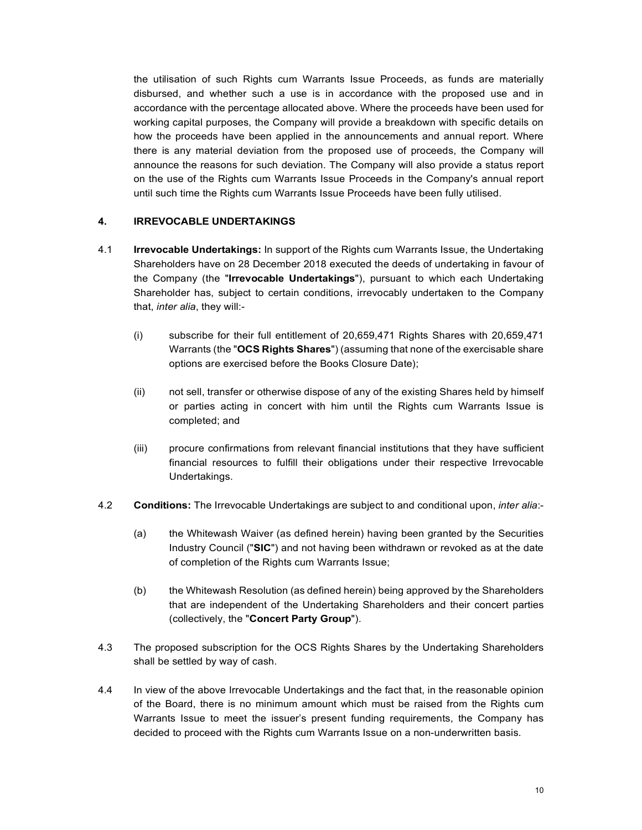the utilisation of such Rights cum Warrants Issue Proceeds, as funds are materially disbursed, and whether such a use is in accordance with the proposed use and in accordance with the percentage allocated above. Where the proceeds have been used for working capital purposes, the Company will provide a breakdown with specific details on how the proceeds have been applied in the announcements and annual report. Where there is any material deviation from the proposed use of proceeds, the Company will announce the reasons for such deviation. The Company will also provide a status report on the use of the Rights cum Warrants Issue Proceeds in the Company's annual report until such time the Rights cum Warrants Issue Proceeds have been fully utilised.

## 4. IRREVOCABLE UNDERTAKINGS

- 4.1 **Irrevocable Undertakings:** In support of the Rights cum Warrants Issue, the Undertaking Shareholders have on 28 December 2018 executed the deeds of undertaking in favour of the Company (the "Irrevocable Undertakings"), pursuant to which each Undertaking Shareholder has, subject to certain conditions, irrevocably undertaken to the Company that, inter alia, they will:-
	- (i) subscribe for their full entitlement of 20,659,471 Rights Shares with 20,659,471 Warrants (the "OCS Rights Shares") (assuming that none of the exercisable share options are exercised before the Books Closure Date);
	- (ii) not sell, transfer or otherwise dispose of any of the existing Shares held by himself or parties acting in concert with him until the Rights cum Warrants Issue is completed; and
	- (iii) procure confirmations from relevant financial institutions that they have sufficient financial resources to fulfill their obligations under their respective Irrevocable Undertakings.
- 4.2 Conditions: The Irrevocable Undertakings are subject to and conditional upon, inter alia:-
	- (a) the Whitewash Waiver (as defined herein) having been granted by the Securities Industry Council ("SIC") and not having been withdrawn or revoked as at the date of completion of the Rights cum Warrants Issue;
	- (b) the Whitewash Resolution (as defined herein) being approved by the Shareholders that are independent of the Undertaking Shareholders and their concert parties (collectively, the "Concert Party Group").
- 4.3 The proposed subscription for the OCS Rights Shares by the Undertaking Shareholders shall be settled by way of cash.
- 4.4 In view of the above Irrevocable Undertakings and the fact that, in the reasonable opinion of the Board, there is no minimum amount which must be raised from the Rights cum Warrants Issue to meet the issuer's present funding requirements, the Company has decided to proceed with the Rights cum Warrants Issue on a non-underwritten basis.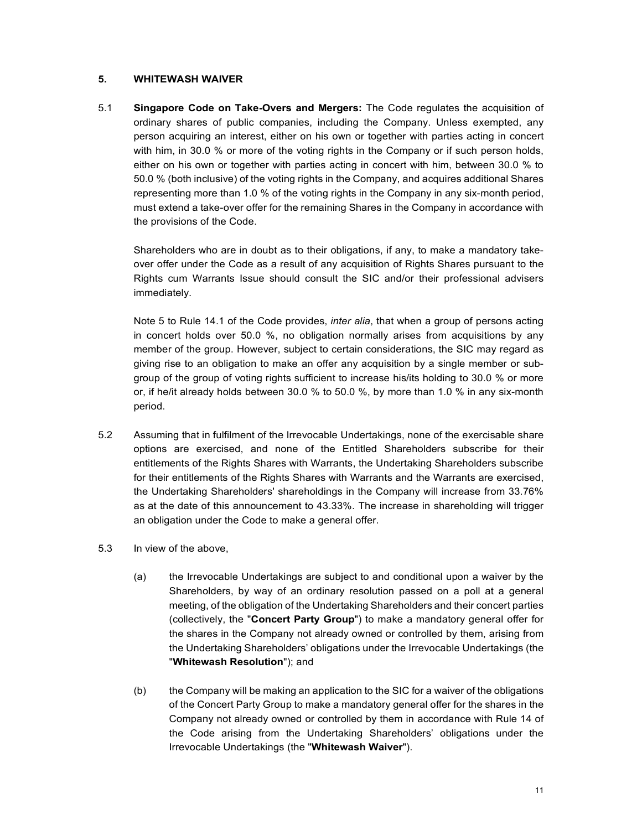## 5. WHITEWASH WAIVER

5.1 Singapore Code on Take-Overs and Mergers: The Code regulates the acquisition of ordinary shares of public companies, including the Company. Unless exempted, any person acquiring an interest, either on his own or together with parties acting in concert with him, in 30.0 % or more of the voting rights in the Company or if such person holds, either on his own or together with parties acting in concert with him, between 30.0 % to 50.0 % (both inclusive) of the voting rights in the Company, and acquires additional Shares representing more than 1.0 % of the voting rights in the Company in any six-month period, must extend a take-over offer for the remaining Shares in the Company in accordance with the provisions of the Code.

Shareholders who are in doubt as to their obligations, if any, to make a mandatory takeover offer under the Code as a result of any acquisition of Rights Shares pursuant to the Rights cum Warrants Issue should consult the SIC and/or their professional advisers immediately.

Note 5 to Rule 14.1 of the Code provides, *inter alia*, that when a group of persons acting in concert holds over 50.0 %, no obligation normally arises from acquisitions by any member of the group. However, subject to certain considerations, the SIC may regard as giving rise to an obligation to make an offer any acquisition by a single member or subgroup of the group of voting rights sufficient to increase his/its holding to 30.0 % or more or, if he/it already holds between 30.0 % to 50.0 %, by more than 1.0 % in any six-month period.

- 5.2 Assuming that in fulfilment of the Irrevocable Undertakings, none of the exercisable share options are exercised, and none of the Entitled Shareholders subscribe for their entitlements of the Rights Shares with Warrants, the Undertaking Shareholders subscribe for their entitlements of the Rights Shares with Warrants and the Warrants are exercised, the Undertaking Shareholders' shareholdings in the Company will increase from 33.76% as at the date of this announcement to 43.33%. The increase in shareholding will trigger an obligation under the Code to make a general offer.
- 5.3 In view of the above,
	- (a) the Irrevocable Undertakings are subject to and conditional upon a waiver by the Shareholders, by way of an ordinary resolution passed on a poll at a general meeting, of the obligation of the Undertaking Shareholders and their concert parties (collectively, the "Concert Party Group") to make a mandatory general offer for the shares in the Company not already owned or controlled by them, arising from the Undertaking Shareholders' obligations under the Irrevocable Undertakings (the "Whitewash Resolution"); and
	- (b) the Company will be making an application to the SIC for a waiver of the obligations of the Concert Party Group to make a mandatory general offer for the shares in the Company not already owned or controlled by them in accordance with Rule 14 of the Code arising from the Undertaking Shareholders' obligations under the Irrevocable Undertakings (the "Whitewash Waiver").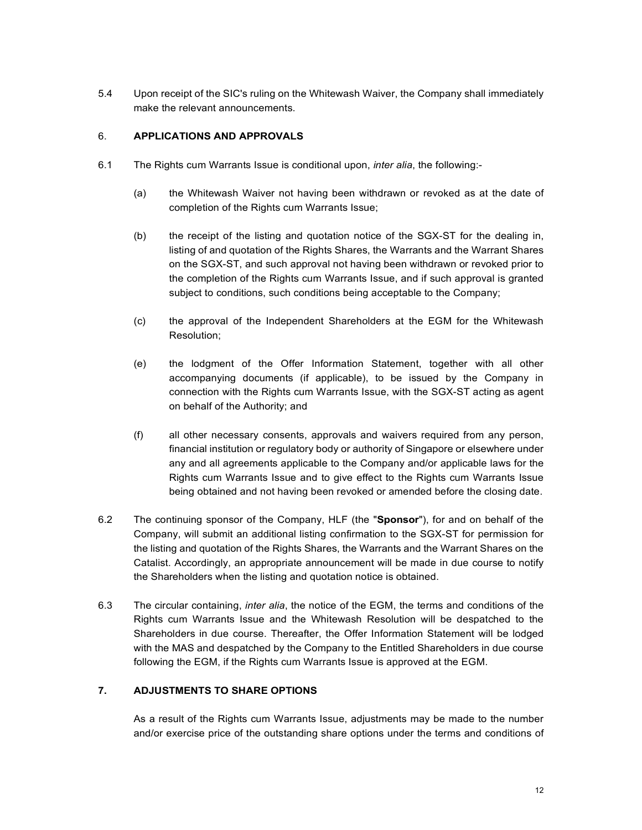5.4 Upon receipt of the SIC's ruling on the Whitewash Waiver, the Company shall immediately make the relevant announcements.

## 6. APPLICATIONS AND APPROVALS

- 6.1 The Rights cum Warrants Issue is conditional upon, inter alia, the following:-
	- (a) the Whitewash Waiver not having been withdrawn or revoked as at the date of completion of the Rights cum Warrants Issue;
	- (b) the receipt of the listing and quotation notice of the SGX-ST for the dealing in, listing of and quotation of the Rights Shares, the Warrants and the Warrant Shares on the SGX-ST, and such approval not having been withdrawn or revoked prior to the completion of the Rights cum Warrants Issue, and if such approval is granted subject to conditions, such conditions being acceptable to the Company;
	- (c) the approval of the Independent Shareholders at the EGM for the Whitewash Resolution;
	- (e) the lodgment of the Offer Information Statement, together with all other accompanying documents (if applicable), to be issued by the Company in connection with the Rights cum Warrants Issue, with the SGX-ST acting as agent on behalf of the Authority; and
	- (f) all other necessary consents, approvals and waivers required from any person, financial institution or regulatory body or authority of Singapore or elsewhere under any and all agreements applicable to the Company and/or applicable laws for the Rights cum Warrants Issue and to give effect to the Rights cum Warrants Issue being obtained and not having been revoked or amended before the closing date.
- 6.2 The continuing sponsor of the Company, HLF (the "Sponsor"), for and on behalf of the Company, will submit an additional listing confirmation to the SGX-ST for permission for the listing and quotation of the Rights Shares, the Warrants and the Warrant Shares on the Catalist. Accordingly, an appropriate announcement will be made in due course to notify the Shareholders when the listing and quotation notice is obtained.
- 6.3 The circular containing, *inter alia*, the notice of the EGM, the terms and conditions of the Rights cum Warrants Issue and the Whitewash Resolution will be despatched to the Shareholders in due course. Thereafter, the Offer Information Statement will be lodged with the MAS and despatched by the Company to the Entitled Shareholders in due course following the EGM, if the Rights cum Warrants Issue is approved at the EGM.

# 7. ADJUSTMENTS TO SHARE OPTIONS

As a result of the Rights cum Warrants Issue, adjustments may be made to the number and/or exercise price of the outstanding share options under the terms and conditions of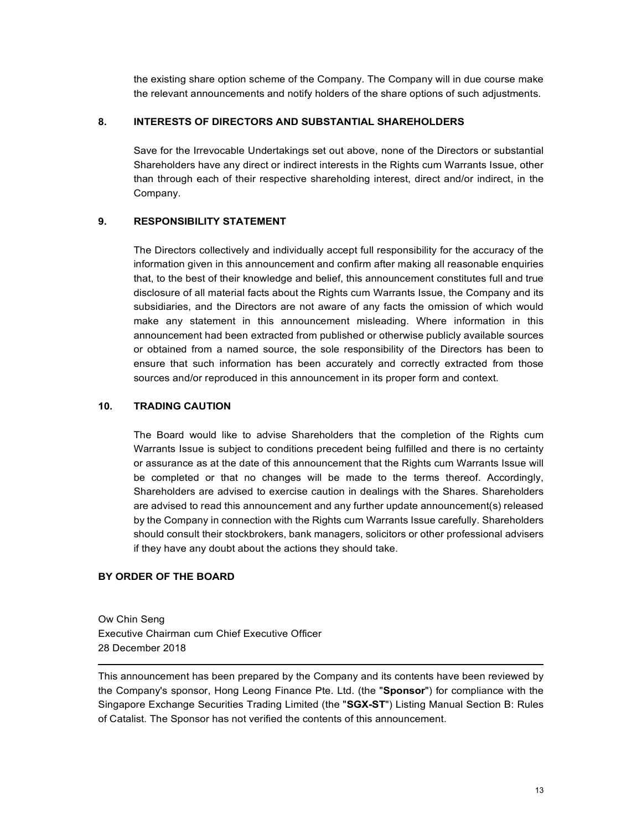the existing share option scheme of the Company. The Company will in due course make the relevant announcements and notify holders of the share options of such adjustments.

## 8. INTERESTS OF DIRECTORS AND SUBSTANTIAL SHAREHOLDERS

Save for the Irrevocable Undertakings set out above, none of the Directors or substantial Shareholders have any direct or indirect interests in the Rights cum Warrants Issue, other than through each of their respective shareholding interest, direct and/or indirect, in the Company.

# 9. RESPONSIBILITY STATEMENT

The Directors collectively and individually accept full responsibility for the accuracy of the information given in this announcement and confirm after making all reasonable enquiries that, to the best of their knowledge and belief, this announcement constitutes full and true disclosure of all material facts about the Rights cum Warrants Issue, the Company and its subsidiaries, and the Directors are not aware of any facts the omission of which would make any statement in this announcement misleading. Where information in this announcement had been extracted from published or otherwise publicly available sources or obtained from a named source, the sole responsibility of the Directors has been to ensure that such information has been accurately and correctly extracted from those sources and/or reproduced in this announcement in its proper form and context.

# 10. TRADING CAUTION

The Board would like to advise Shareholders that the completion of the Rights cum Warrants Issue is subject to conditions precedent being fulfilled and there is no certainty or assurance as at the date of this announcement that the Rights cum Warrants Issue will be completed or that no changes will be made to the terms thereof. Accordingly, Shareholders are advised to exercise caution in dealings with the Shares. Shareholders are advised to read this announcement and any further update announcement(s) released by the Company in connection with the Rights cum Warrants Issue carefully. Shareholders should consult their stockbrokers, bank managers, solicitors or other professional advisers if they have any doubt about the actions they should take.

# BY ORDER OF THE BOARD

Ow Chin Seng Executive Chairman cum Chief Executive Officer 28 December 2018

This announcement has been prepared by the Company and its contents have been reviewed by the Company's sponsor, Hong Leong Finance Pte. Ltd. (the "Sponsor") for compliance with the Singapore Exchange Securities Trading Limited (the "SGX-ST") Listing Manual Section B: Rules of Catalist. The Sponsor has not verified the contents of this announcement.